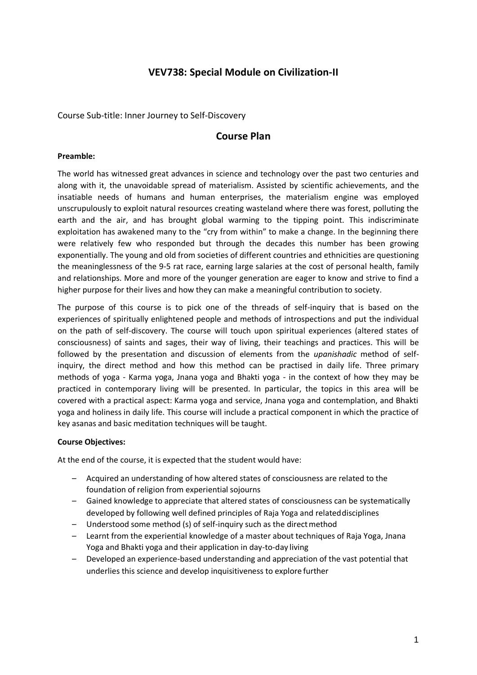# **VEV738: Special Module on Civilization-II**

Course Sub-title: Inner Journey to Self-Discovery

## **Course Plan**

#### **Preamble:**

The world has witnessed great advances in science and technology over the past two centuries and along with it, the unavoidable spread of materialism. Assisted by scientific achievements, and the insatiable needs of humans and human enterprises, the materialism engine was employed unscrupulously to exploit natural resources creating wasteland where there was forest, polluting the earth and the air, and has brought global warming to the tipping point. This indiscriminate exploitation has awakened many to the "cry from within" to make a change. In the beginning there were relatively few who responded but through the decades this number has been growing exponentially. The young and old from societies of different countries and ethnicities are questioning the meaninglessness of the 9-5 rat race, earning large salaries at the cost of personal health, family and relationships. More and more of the younger generation are eager to know and strive to find a higher purpose for their lives and how they can make a meaningful contribution to society.

The purpose of this course is to pick one of the threads of self-inquiry that is based on the experiences of spiritually enlightened people and methods of introspections and put the individual on the path of self-discovery. The course will touch upon spiritual experiences (altered states of consciousness) of saints and sages, their way of living, their teachings and practices. This will be followed by the presentation and discussion of elements from the *upanishadic* method of selfinquiry, the direct method and how this method can be practised in daily life. Three primary methods of yoga - Karma yoga, Jnana yoga and Bhakti yoga - in the context of how they may be practiced in contemporary living will be presented. In particular, the topics in this area will be covered with a practical aspect: Karma yoga and service, Jnana yoga and contemplation, and Bhakti yoga and holiness in daily life. This course will include a practical component in which the practice of key asanas and basic meditation techniques will be taught.

#### **Course Objectives:**

At the end of the course, it is expected that the student would have:

- Acquired an understanding of how altered states of consciousness are related to the foundation of religion from experiential sojourns
- Gained knowledge to appreciate that altered states of consciousness can be systematically developed by following well defined principles of Raja Yoga and relateddisciplines
- Understood some method (s) of self-inquiry such as the directmethod
- Learnt from the experiential knowledge of a master about techniques of Raja Yoga, Jnana Yoga and Bhakti yoga and their application in day-to-day living
- Developed an experience-based understanding and appreciation of the vast potential that underlies this science and develop inquisitiveness to explore further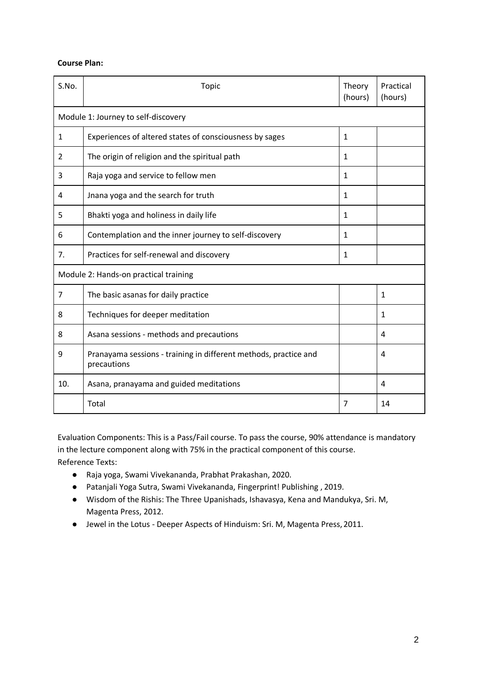### **Course Plan:**

| S.No.                                 | <b>Topic</b>                                                                    | Theory<br>(hours) | Practical<br>(hours) |
|---------------------------------------|---------------------------------------------------------------------------------|-------------------|----------------------|
| Module 1: Journey to self-discovery   |                                                                                 |                   |                      |
| 1                                     | Experiences of altered states of consciousness by sages                         | $\mathbf{1}$      |                      |
| 2                                     | The origin of religion and the spiritual path                                   | $\mathbf{1}$      |                      |
| 3                                     | Raja yoga and service to fellow men                                             | $\mathbf{1}$      |                      |
| 4                                     | Jnana yoga and the search for truth                                             | 1                 |                      |
| 5                                     | Bhakti yoga and holiness in daily life                                          | 1                 |                      |
| 6                                     | Contemplation and the inner journey to self-discovery                           | 1                 |                      |
| 7.                                    | Practices for self-renewal and discovery                                        | 1                 |                      |
| Module 2: Hands-on practical training |                                                                                 |                   |                      |
| $\overline{7}$                        | The basic asanas for daily practice                                             |                   | $\mathbf{1}$         |
| 8                                     | Techniques for deeper meditation                                                |                   | 1                    |
| 8                                     | Asana sessions - methods and precautions                                        |                   | 4                    |
| 9                                     | Pranayama sessions - training in different methods, practice and<br>precautions |                   | 4                    |
| 10.                                   | Asana, pranayama and guided meditations                                         |                   | 4                    |
|                                       | Total                                                                           | 7                 | 14                   |

Evaluation Components: This is a Pass/Fail course. To pass the course, 90% attendance is mandatory in the lecture component along with 75% in the practical component of this course. Reference Texts:

- Raja yoga, Swami Vivekananda, Prabhat Prakashan, 2020.
- Patanjali Yoga Sutra, Swami Vivekananda, Fingerprint! Publishing , 2019.
- Wisdom of the Rishis: The Three Upanishads, Ishavasya, Kena and Mandukya, Sri. M, Magenta Press, 2012.
- Jewel in the Lotus Deeper Aspects of Hinduism: Sri. M, Magenta Press, 2011.